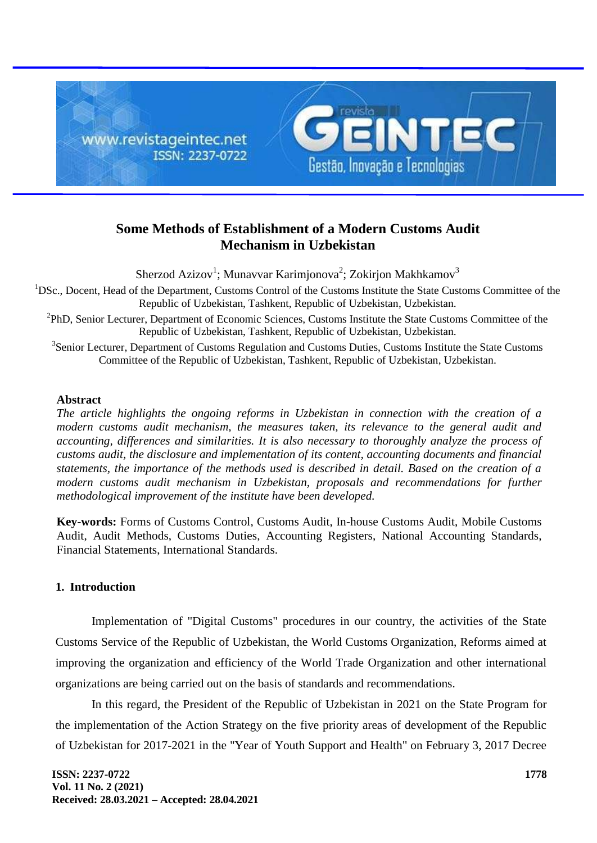

# **Some Methods of Establishment of a Modern Customs Audit Mechanism in Uzbekistan**

Sherzod Azizov<sup>1</sup>; Munavvar Karimjonova<sup>2</sup>; Zokirjon Makhkamov<sup>3</sup>

<sup>1</sup>DSc., Docent, Head of the Department, Customs Control of the Customs Institute the State Customs Committee of the Republic of Uzbekistan, Tashkent, Republic of Uzbekistan, Uzbekistan.

<sup>2</sup>PhD, Senior Lecturer, Department of Economic Sciences, Customs Institute the State Customs Committee of the Republic of Uzbekistan, Tashkent, Republic of Uzbekistan, Uzbekistan.

<sup>3</sup>Senior Lecturer, Department of Customs Regulation and Customs Duties, Customs Institute the State Customs Committee of the Republic of Uzbekistan, Tashkent, Republic of Uzbekistan, Uzbekistan.

#### **Abstract**

*The article highlights the ongoing reforms in Uzbekistan in connection with the creation of a modern customs audit mechanism, the measures taken, its relevance to the general audit and accounting, differences and similarities. It is also necessary to thoroughly analyze the process of customs audit, the disclosure and implementation of its content, accounting documents and financial statements, the importance of the methods used is described in detail. Based on the creation of a modern customs audit mechanism in Uzbekistan, proposals and recommendations for further methodological improvement of the institute have been developed.*

**Key-words:** Forms of Customs Control, Customs Audit, In-house Customs Audit, Mobile Customs Audit, Audit Methods, Customs Duties, Accounting Registers, National Accounting Standards, Financial Statements, International Standards.

## **1. Introduction**

Implementation of "Digital Customs" procedures in our country, the activities of the State Customs Service of the Republic of Uzbekistan, the World Customs Organization, Reforms aimed at improving the organization and efficiency of the World Trade Organization and other international organizations are being carried out on the basis of standards and recommendations.

In this regard, the President of the Republic of Uzbekistan in 2021 on the State Program for the implementation of the Action Strategy on the five priority areas of development of the Republic of Uzbekistan for 2017-2021 in the "Year of Youth Support and Health" on February 3, 2017 Decree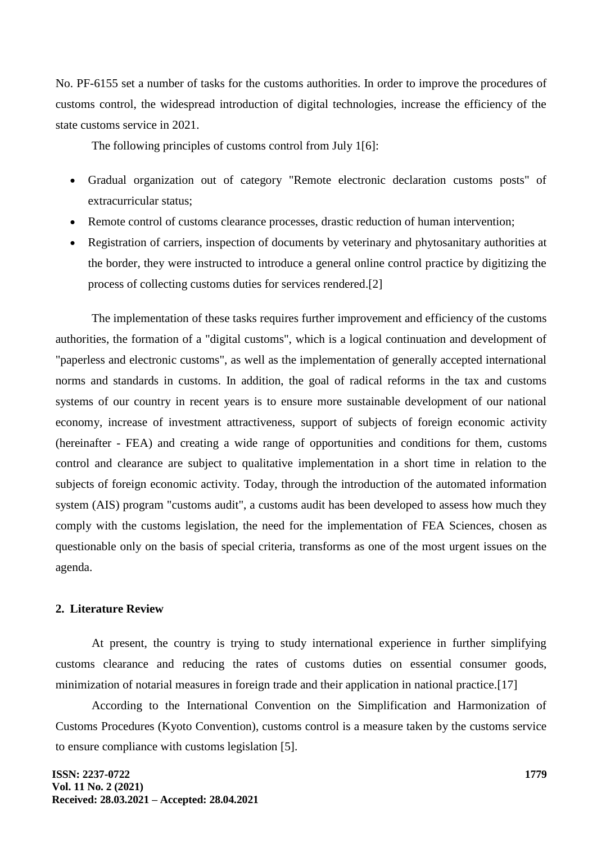No. PF-6155 set a number of tasks for the customs authorities. In order to improve the procedures of customs control, the widespread introduction of digital technologies, increase the efficiency of the state customs service in 2021.

The following principles of customs control from July 1[6]:

- Gradual organization out of category "Remote electronic declaration customs posts" of extracurricular status;
- Remote control of customs clearance processes, drastic reduction of human intervention;
- Registration of carriers, inspection of documents by veterinary and phytosanitary authorities at the border, they were instructed to introduce a general online control practice by digitizing the process of collecting customs duties for services rendered.[2]

The implementation of these tasks requires further improvement and efficiency of the customs authorities, the formation of a "digital customs", which is a logical continuation and development of "paperless and electronic customs", as well as the implementation of generally accepted international norms and standards in customs. In addition, the goal of radical reforms in the tax and customs systems of our country in recent years is to ensure more sustainable development of our national economy, increase of investment attractiveness, support of subjects of foreign economic activity (hereinafter - FEA) and creating a wide range of opportunities and conditions for them, customs control and clearance are subject to qualitative implementation in a short time in relation to the subjects of foreign economic activity. Today, through the introduction of the automated information system (AIS) program "customs audit", a customs audit has been developed to assess how much they comply with the customs legislation, the need for the implementation of FEA Sciences, chosen as questionable only on the basis of special criteria, transforms as one of the most urgent issues on the agenda.

### **2. Literature Review**

At present, the country is trying to study international experience in further simplifying customs clearance and reducing the rates of customs duties on essential consumer goods, minimization of notarial measures in foreign trade and their application in national practice.[17]

According to the International Convention on the Simplification and Harmonization of Customs Procedures (Kyoto Convention), customs control is a measure taken by the customs service to ensure compliance with customs legislation [5].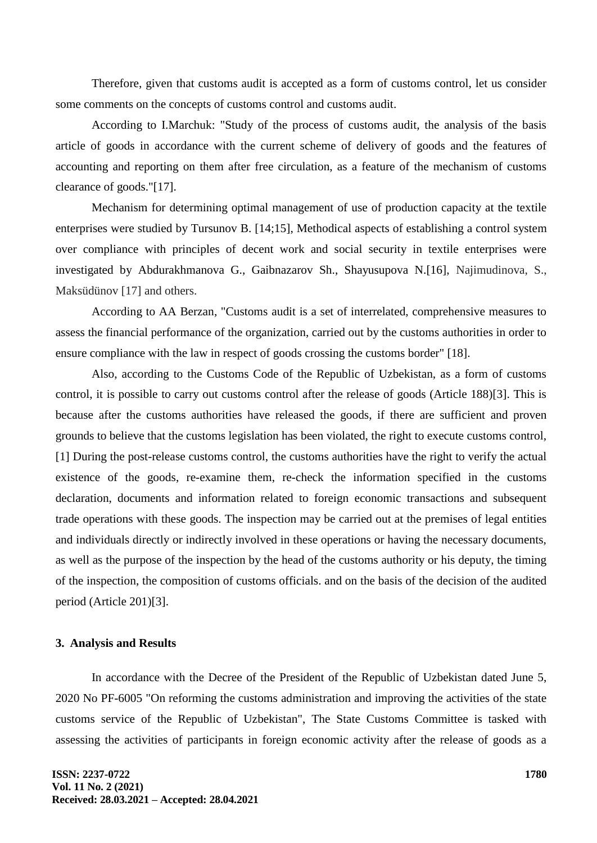Therefore, given that customs audit is accepted as a form of customs control, let us consider some comments on the concepts of customs control and customs audit.

According to I.Marchuk: "Study of the process of customs audit, the analysis of the basis article of goods in accordance with the current scheme of delivery of goods and the features of accounting and reporting on them after free circulation, as a feature of the mechanism of customs clearance of goods."[17].

Mechanism for determining optimal management of use of production capacity at the textile enterprises were studied by Tursunov B. [14;15], Methodical aspects of establishing a control system over compliance with principles of decent work and social security in textile enterprises were investigated by Abdurakhmanova G., Gaibnazarov Sh., Shayusupova N.[16], Najimudinova, S., Maksüdünov [17] and others.

According to AA Berzan, "Customs audit is a set of interrelated, comprehensive measures to assess the financial performance of the organization, carried out by the customs authorities in order to ensure compliance with the law in respect of goods crossing the customs border" [18].

Also, according to the Customs Code of the Republic of Uzbekistan, as a form of customs control, it is possible to carry out customs control after the release of goods (Article 188)[3]. This is because after the customs authorities have released the goods, if there are sufficient and proven grounds to believe that the customs legislation has been violated, the right to execute customs control, [1] During the post-release customs control, the customs authorities have the right to verify the actual existence of the goods, re-examine them, re-check the information specified in the customs declaration, documents and information related to foreign economic transactions and subsequent trade operations with these goods. The inspection may be carried out at the premises of legal entities and individuals directly or indirectly involved in these operations or having the necessary documents, as well as the purpose of the inspection by the head of the customs authority or his deputy, the timing of the inspection, the composition of customs officials. and on the basis of the decision of the audited period (Article 201)[3].

#### **3. Analysis and Results**

In accordance with the Decree of the President of the Republic of Uzbekistan dated June 5, 2020 No PF-6005 "On reforming the customs administration and improving the activities of the state customs service of the Republic of Uzbekistan", The State Customs Committee is tasked with assessing the activities of participants in foreign economic activity after the release of goods as a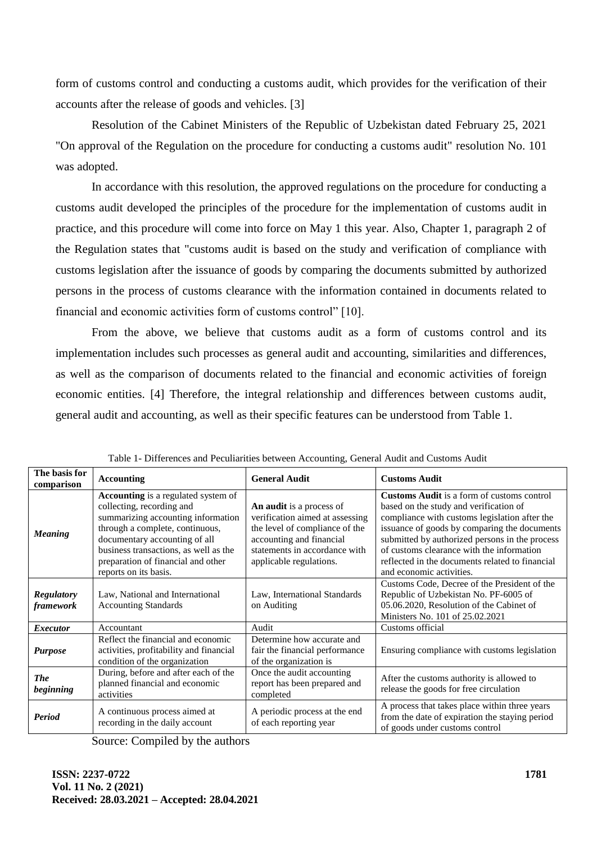form of customs control and conducting a customs audit, which provides for the verification of their accounts after the release of goods and vehicles. [3]

Resolution of the Cabinet Ministers of the Republic of Uzbekistan dated February 25, 2021 "On approval of the Regulation on the procedure for conducting a customs audit" resolution No. 101 was adopted.

In accordance with this resolution, the approved regulations on the procedure for conducting a customs audit developed the principles of the procedure for the implementation of customs audit in practice, and this procedure will come into force on May 1 this year. Also, Chapter 1, paragraph 2 of the Regulation states that "customs audit is based on the study and verification of compliance with customs legislation after the issuance of goods by comparing the documents submitted by authorized persons in the process of customs clearance with the information contained in documents related to financial and economic activities form of customs control" [10].

From the above, we believe that customs audit as a form of customs control and its implementation includes such processes as general audit and accounting, similarities and differences, as well as the comparison of documents related to the financial and economic activities of foreign economic entities. [4] Therefore, the integral relationship and differences between customs audit, general audit and accounting, as well as their specific features can be understood from Table 1.

| The basis for<br>comparison           | <b>Accounting</b>                                                                                                                                                                                                                                                                  | <b>General Audit</b>                                                                                                                                                                  | <b>Customs Audit</b>                                                                                                                                                                                                                                                                                                                                                       |  |  |  |
|---------------------------------------|------------------------------------------------------------------------------------------------------------------------------------------------------------------------------------------------------------------------------------------------------------------------------------|---------------------------------------------------------------------------------------------------------------------------------------------------------------------------------------|----------------------------------------------------------------------------------------------------------------------------------------------------------------------------------------------------------------------------------------------------------------------------------------------------------------------------------------------------------------------------|--|--|--|
| <b>Meaning</b>                        | Accounting is a regulated system of<br>collecting, recording and<br>summarizing accounting information<br>through a complete, continuous,<br>documentary accounting of all<br>business transactions, as well as the<br>preparation of financial and other<br>reports on its basis. | An audit is a process of<br>verification aimed at assessing<br>the level of compliance of the<br>accounting and financial<br>statements in accordance with<br>applicable regulations. | <b>Customs Audit</b> is a form of customs control<br>based on the study and verification of<br>compliance with customs legislation after the<br>issuance of goods by comparing the documents<br>submitted by authorized persons in the process<br>of customs clearance with the information<br>reflected in the documents related to financial<br>and economic activities. |  |  |  |
| <b>Regulatory</b><br><i>framework</i> | Law, National and International<br><b>Accounting Standards</b>                                                                                                                                                                                                                     | Law, International Standards<br>on Auditing                                                                                                                                           | Customs Code, Decree of the President of the<br>Republic of Uzbekistan No. PF-6005 of<br>05.06.2020, Resolution of the Cabinet of<br>Ministers No. 101 of 25.02.2021                                                                                                                                                                                                       |  |  |  |
| <b>Executor</b>                       | Accountant                                                                                                                                                                                                                                                                         | Audit                                                                                                                                                                                 | Customs official                                                                                                                                                                                                                                                                                                                                                           |  |  |  |
| <b>Purpose</b>                        | Reflect the financial and economic<br>activities, profitability and financial<br>condition of the organization                                                                                                                                                                     | Determine how accurate and<br>fair the financial performance<br>of the organization is                                                                                                | Ensuring compliance with customs legislation                                                                                                                                                                                                                                                                                                                               |  |  |  |
| <b>The</b><br>beginning               | During, before and after each of the<br>planned financial and economic<br>activities                                                                                                                                                                                               | Once the audit accounting<br>report has been prepared and<br>completed                                                                                                                | After the customs authority is allowed to<br>release the goods for free circulation                                                                                                                                                                                                                                                                                        |  |  |  |
| Period                                | A continuous process aimed at<br>recording in the daily account                                                                                                                                                                                                                    | A periodic process at the end<br>of each reporting year                                                                                                                               | A process that takes place within three years<br>from the date of expiration the staying period<br>of goods under customs control                                                                                                                                                                                                                                          |  |  |  |

Table 1- Differences and Peculiarities between Accounting, General Audit and Customs Audit

Source: Compiled by the authors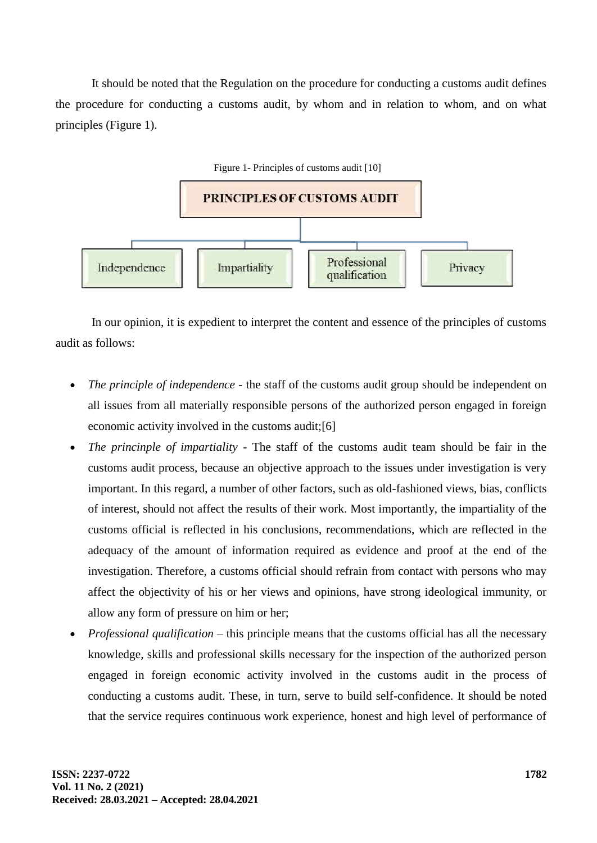It should be noted that the Regulation on the procedure for conducting a customs audit defines the procedure for conducting a customs audit, by whom and in relation to whom, and on what principles (Figure 1).



In our opinion, it is expedient to interpret the content and essence of the principles of customs audit as follows:

- *The principle of independence*  the staff of the customs audit group should be independent on all issues from all materially responsible persons of the authorized person engaged in foreign economic activity involved in the customs audit;[6]
- *The princinple of impartiality* The staff of the customs audit team should be fair in the customs audit process, because an objective approach to the issues under investigation is very important. In this regard, a number of other factors, such as old-fashioned views, bias, conflicts of interest, should not affect the results of their work. Most importantly, the impartiality of the customs official is reflected in his conclusions, recommendations, which are reflected in the adequacy of the amount of information required as evidence and proof at the end of the investigation. Therefore, a customs official should refrain from contact with persons who may affect the objectivity of his or her views and opinions, have strong ideological immunity, or allow any form of pressure on him or her;
- *Professional qualification* this principle means that the customs official has all the necessary knowledge, skills and professional skills necessary for the inspection of the authorized person engaged in foreign economic activity involved in the customs audit in the process of conducting a customs audit. These, in turn, serve to build self-confidence. It should be noted that the service requires continuous work experience, honest and high level of performance of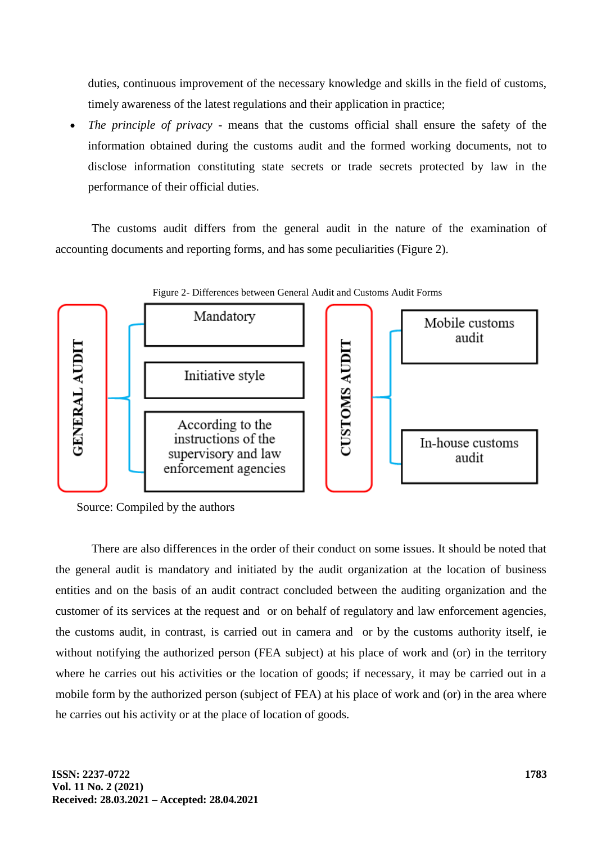duties, continuous improvement of the necessary knowledge and skills in the field of customs, timely awareness of the latest regulations and their application in practice;

 *The principle of privacy* - means that the customs official shall ensure the safety of the information obtained during the customs audit and the formed working documents, not to disclose information constituting state secrets or trade secrets protected by law in the performance of their official duties.

The customs audit differs from the general audit in the nature of the examination of accounting documents and reporting forms, and has some peculiarities (Figure 2).



Figure 2- Differences between General Audit and Customs Audit Forms

Source: Compiled by the authors

There are also differences in the order of their conduct on some issues. It should be noted that the general audit is mandatory and initiated by the audit organization at the location of business entities and on the basis of an audit contract concluded between the auditing organization and the customer of its services at the request and or on behalf of regulatory and law enforcement agencies, the customs audit, in contrast, is carried out in camera and or by the customs authority itself, ie without notifying the authorized person (FEA subject) at his place of work and (or) in the territory where he carries out his activities or the location of goods; if necessary, it may be carried out in a mobile form by the authorized person (subject of FEA) at his place of work and (or) in the area where he carries out his activity or at the place of location of goods.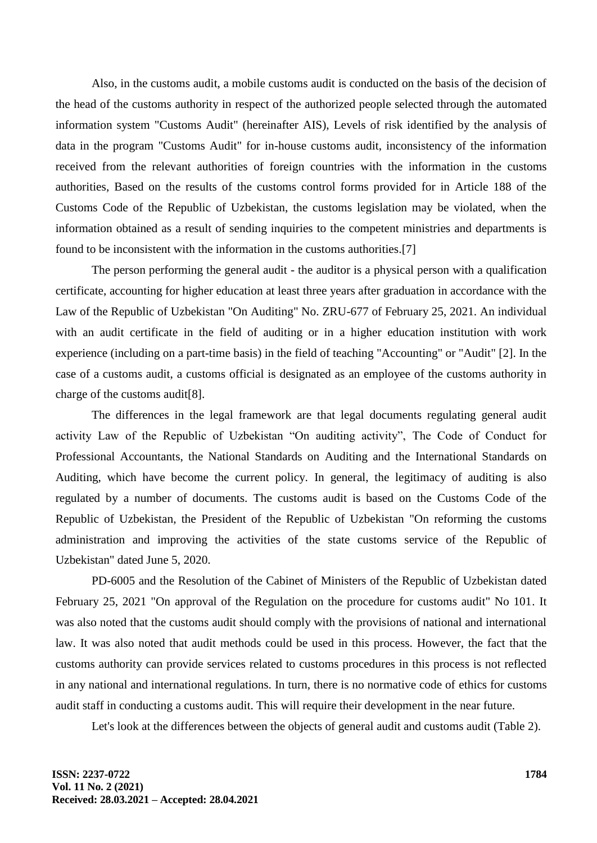Also, in the customs audit, a mobile customs audit is conducted on the basis of the decision of the head of the customs authority in respect of the authorized people selected through the automated information system "Customs Audit" (hereinafter AIS), Levels of risk identified by the analysis of data in the program "Customs Audit" for in-house customs audit, inconsistency of the information received from the relevant authorities of foreign countries with the information in the customs authorities, Based on the results of the customs control forms provided for in Article 188 of the Customs Code of the Republic of Uzbekistan, the customs legislation may be violated, when the information obtained as a result of sending inquiries to the competent ministries and departments is found to be inconsistent with the information in the customs authorities.[7]

The person performing the general audit - the auditor is a physical person with a qualification certificate, accounting for higher education at least three years after graduation in accordance with the Law of the Republic of Uzbekistan "On Auditing" No. ZRU-677 of February 25, 2021. An individual with an audit certificate in the field of auditing or in a higher education institution with work experience (including on a part-time basis) in the field of teaching "Accounting" or "Audit" [2]. In the case of a customs audit, a customs official is designated as an employee of the customs authority in charge of the customs audit[8].

The differences in the legal framework are that legal documents regulating general audit activity Law of the Republic of Uzbekistan "On auditing activity", The Code of Conduct for Professional Accountants, the National Standards on Auditing and the International Standards on Auditing, which have become the current policy. In general, the legitimacy of auditing is also regulated by a number of documents. The customs audit is based on the Customs Code of the Republic of Uzbekistan, the President of the Republic of Uzbekistan "On reforming the customs administration and improving the activities of the state customs service of the Republic of Uzbekistan" dated June 5, 2020.

PD-6005 and the Resolution of the Cabinet of Ministers of the Republic of Uzbekistan dated February 25, 2021 "On approval of the Regulation on the procedure for customs audit" No 101. It was also noted that the customs audit should comply with the provisions of national and international law. It was also noted that audit methods could be used in this process. However, the fact that the customs authority can provide services related to customs procedures in this process is not reflected in any national and international regulations. In turn, there is no normative code of ethics for customs audit staff in conducting a customs audit. This will require their development in the near future.

Let's look at the differences between the objects of general audit and customs audit (Table 2).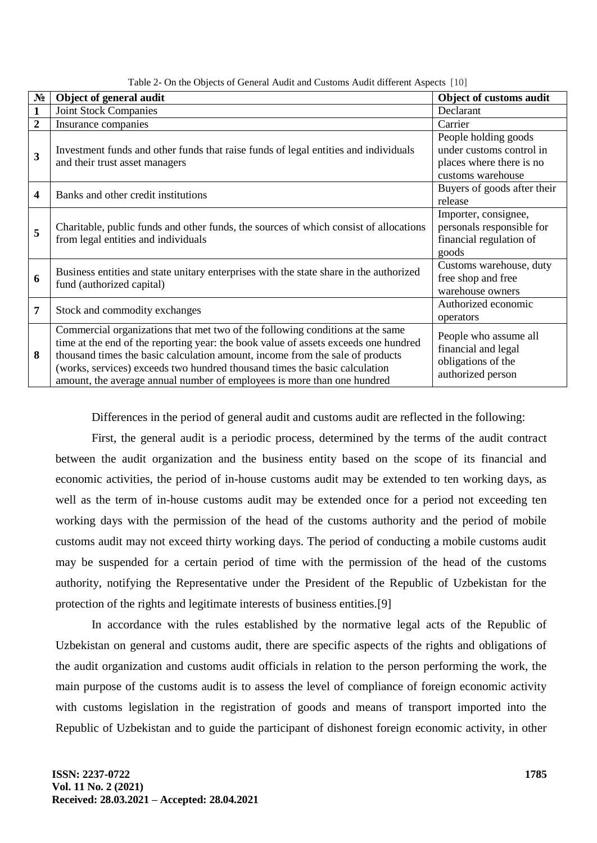| $N_2$        | Object of general audit                                                                | Object of customs audit     |
|--------------|----------------------------------------------------------------------------------------|-----------------------------|
| $\mathbf{1}$ | <b>Joint Stock Companies</b>                                                           | Declarant                   |
|              |                                                                                        |                             |
| 2            | Insurance companies                                                                    | Carrier                     |
|              |                                                                                        | People holding goods        |
| 3            | Investment funds and other funds that raise funds of legal entities and individuals    | under customs control in    |
|              | and their trust asset managers                                                         | places where there is no    |
|              |                                                                                        | customs warehouse           |
| 4            | Banks and other credit institutions                                                    | Buyers of goods after their |
|              |                                                                                        | release                     |
| 5            |                                                                                        | Importer, consignee,        |
|              | Charitable, public funds and other funds, the sources of which consist of allocations  | personals responsible for   |
|              | from legal entities and individuals                                                    | financial regulation of     |
|              |                                                                                        | goods                       |
|              | Business entities and state unitary enterprises with the state share in the authorized | Customs warehouse, duty     |
| 6            | fund (authorized capital)                                                              | free shop and free          |
|              |                                                                                        | warehouse owners            |
| 7            |                                                                                        | Authorized economic         |
|              | Stock and commodity exchanges                                                          | operators                   |
| 8            | Commercial organizations that met two of the following conditions at the same          | People who assume all       |
|              | time at the end of the reporting year: the book value of assets exceeds one hundred    | financial and legal         |
|              | thousand times the basic calculation amount, income from the sale of products          | obligations of the          |
|              | (works, services) exceeds two hundred thousand times the basic calculation             |                             |
|              | amount, the average annual number of employees is more than one hundred                | authorized person           |

Table 2- On the Objects of General Audit and Customs Audit different Aspects [10]

Differences in the period of general audit and customs audit are reflected in the following:

First, the general audit is a periodic process, determined by the terms of the audit contract between the audit organization and the business entity based on the scope of its financial and economic activities, the period of in-house customs audit may be extended to ten working days, as well as the term of in-house customs audit may be extended once for a period not exceeding ten working days with the permission of the head of the customs authority and the period of mobile customs audit may not exceed thirty working days. The period of conducting a mobile customs audit may be suspended for a certain period of time with the permission of the head of the customs authority, notifying the Representative under the President of the Republic of Uzbekistan for the protection of the rights and legitimate interests of business entities.[9]

In accordance with the rules established by the normative legal acts of the Republic of Uzbekistan on general and customs audit, there are specific aspects of the rights and obligations of the audit organization and customs audit officials in relation to the person performing the work, the main purpose of the customs audit is to assess the level of compliance of foreign economic activity with customs legislation in the registration of goods and means of transport imported into the Republic of Uzbekistan and to guide the participant of dishonest foreign economic activity, in other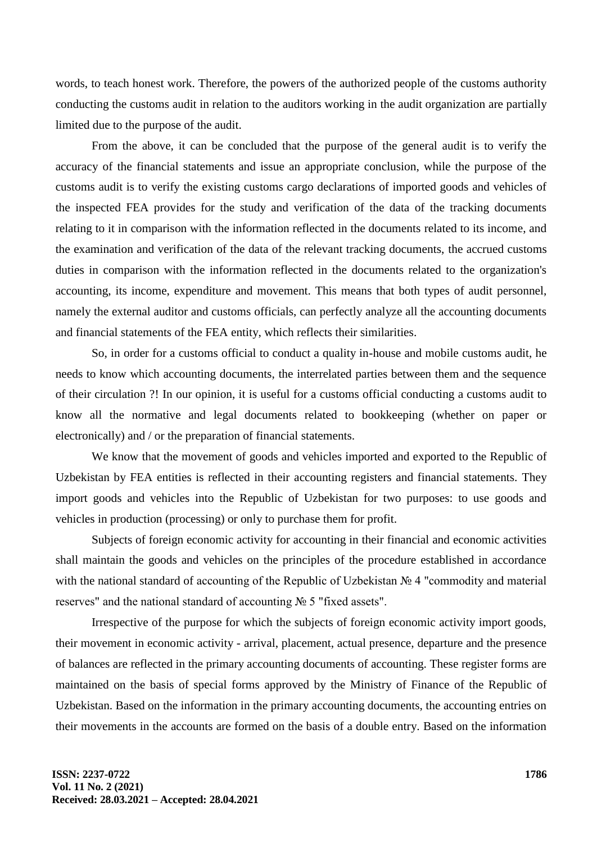words, to teach honest work. Therefore, the powers of the authorized people of the customs authority conducting the customs audit in relation to the auditors working in the audit organization are partially limited due to the purpose of the audit.

From the above, it can be concluded that the purpose of the general audit is to verify the accuracy of the financial statements and issue an appropriate conclusion, while the purpose of the customs audit is to verify the existing customs cargo declarations of imported goods and vehicles of the inspected FEA provides for the study and verification of the data of the tracking documents relating to it in comparison with the information reflected in the documents related to its income, and the examination and verification of the data of the relevant tracking documents, the accrued customs duties in comparison with the information reflected in the documents related to the organization's accounting, its income, expenditure and movement. This means that both types of audit personnel, namely the external auditor and customs officials, can perfectly analyze all the accounting documents and financial statements of the FEA entity, which reflects their similarities.

So, in order for a customs official to conduct a quality in-house and mobile customs audit, he needs to know which accounting documents, the interrelated parties between them and the sequence of their circulation ?! In our opinion, it is useful for a customs official conducting a customs audit to know all the normative and legal documents related to bookkeeping (whether on paper or electronically) and / or the preparation of financial statements.

We know that the movement of goods and vehicles imported and exported to the Republic of Uzbekistan by FEA entities is reflected in their accounting registers and financial statements. They import goods and vehicles into the Republic of Uzbekistan for two purposes: to use goods and vehicles in production (processing) or only to purchase them for profit.

Subjects of foreign economic activity for accounting in their financial and economic activities shall maintain the goods and vehicles on the principles of the procedure established in accordance with the national standard of accounting of the Republic of Uzbekistan № 4 "commodity and material reserves" and the national standard of accounting № 5 "fixed assets".

Irrespective of the purpose for which the subjects of foreign economic activity import goods, their movement in economic activity - arrival, placement, actual presence, departure and the presence of balances are reflected in the primary accounting documents of accounting. These register forms are maintained on the basis of special forms approved by the Ministry of Finance of the Republic of Uzbekistan. Based on the information in the primary accounting documents, the accounting entries on their movements in the accounts are formed on the basis of a double entry. Based on the information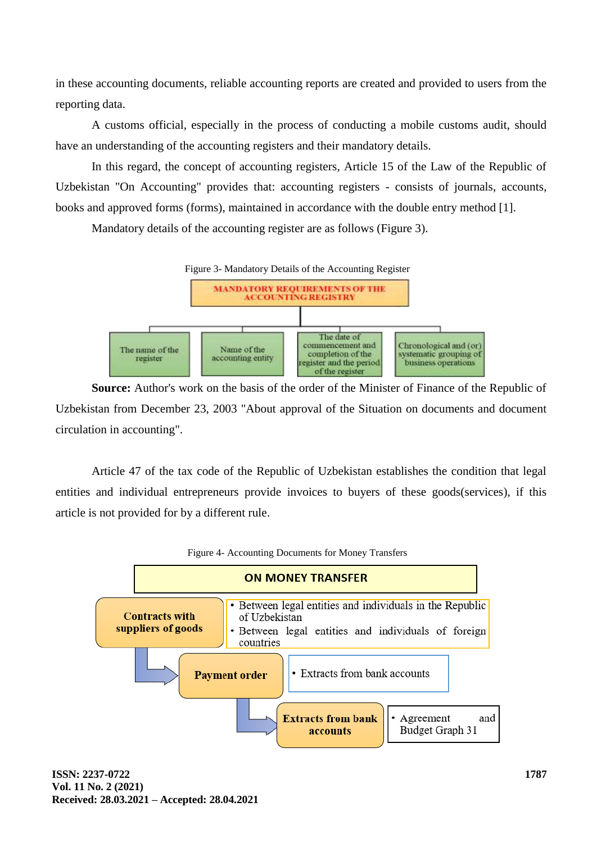in these accounting documents, reliable accounting reports are created and provided to users from the reporting data.

A customs official, especially in the process of conducting a mobile customs audit, should have an understanding of the accounting registers and their mandatory details.

In this regard, the concept of accounting registers, Article 15 of the Law of the Republic of Uzbekistan "On Accounting" provides that: accounting registers - consists of journals, accounts, books and approved forms (forms), maintained in accordance with the double entry method [1].

Mandatory details of the accounting register are as follows (Figure 3).



**Source:** Author's work on the basis of the order of the Minister of Finance of the Republic of Uzbekistan from December 23, 2003 "About approval of the Situation on documents and document circulation in accounting".

Article 47 of the tax code of the Republic of Uzbekistan establishes the condition that legal entities and individual entrepreneurs provide invoices to buyers of these goods(services), if this article is not provided for by a different rule.

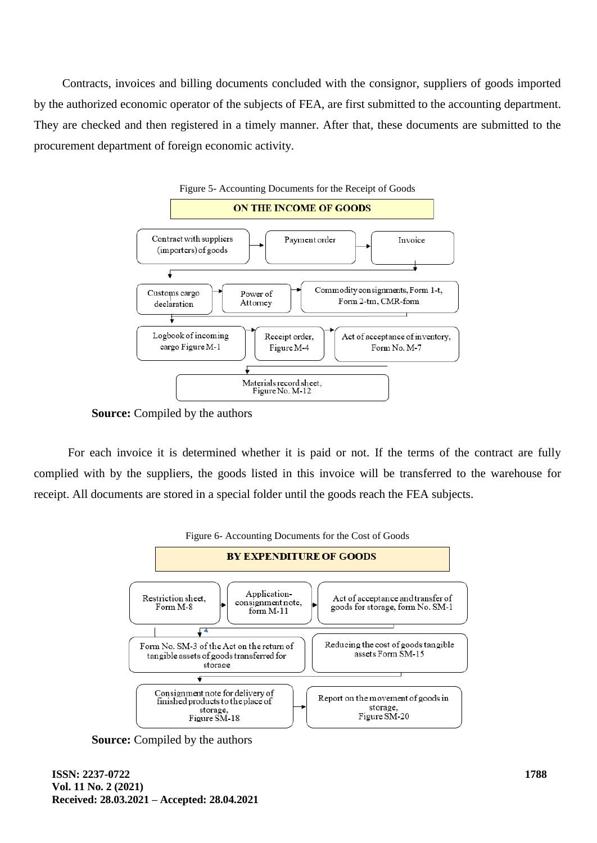Contracts, invoices and billing documents concluded with the consignor, suppliers of goods imported by the authorized economic operator of the subjects of FEA, are first submitted to the accounting department. They are checked and then registered in a timely manner. After that, these documents are submitted to the procurement department of foreign economic activity.



**Source:** Compiled by the authors

For each invoice it is determined whether it is paid or not. If the terms of the contract are fully complied with by the suppliers, the goods listed in this invoice will be transferred to the warehouse for receipt. All documents are stored in a special folder until the goods reach the FEA subjects.



**Source:** Compiled by the authors

**ISSN: 2237-0722 Vol. 11 No. 2 (2021) Received: 28.03.2021 – Accepted: 28.04.2021**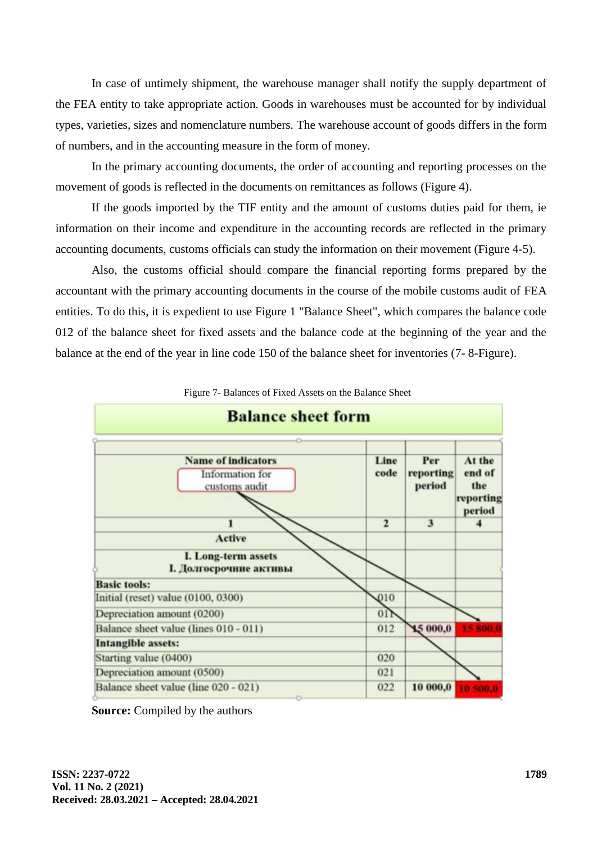In case of untimely shipment, the warehouse manager shall notify the supply department of the FEA entity to take appropriate action. Goods in warehouses must be accounted for by individual types, varieties, sizes and nomenclature numbers. The warehouse account of goods differs in the form of numbers, and in the accounting measure in the form of money.

In the primary accounting documents, the order of accounting and reporting processes on the movement of goods is reflected in the documents on remittances as follows (Figure 4).

If the goods imported by the TIF entity and the amount of customs duties paid for them, ie information on their income and expenditure in the accounting records are reflected in the primary accounting documents, customs officials can study the information on their movement (Figure 4-5).

Also, the customs official should compare the financial reporting forms prepared by the accountant with the primary accounting documents in the course of the mobile customs audit of FEA entities. To do this, it is expedient to use Figure 1 "Balance Sheet", which compares the balance code 012 of the balance sheet for fixed assets and the balance code at the beginning of the year and the balance at the end of the year in line code 150 of the balance sheet for inventories (7- 8-Figure).



Figure 7- Balances of Fixed Assets on the Balance Sheet

**Source:** Compiled by the authors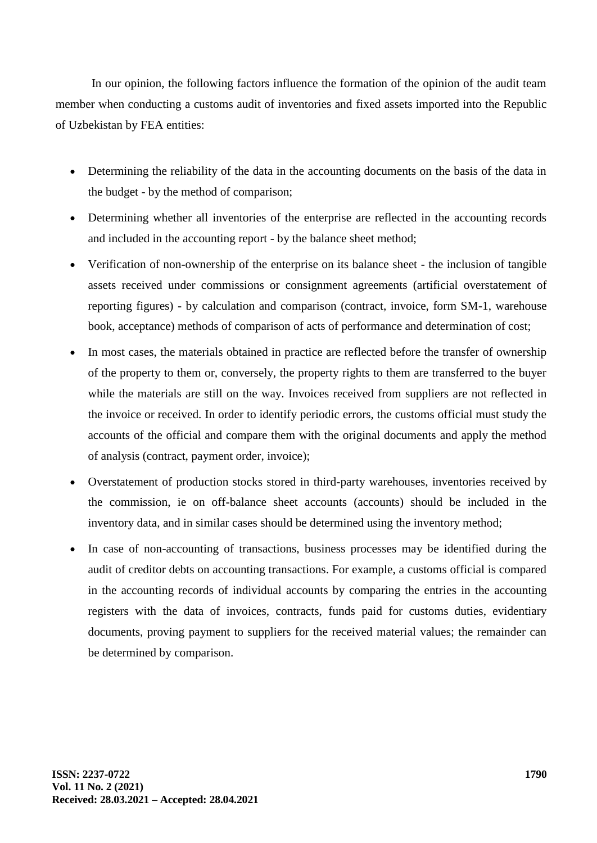In our opinion, the following factors influence the formation of the opinion of the audit team member when conducting a customs audit of inventories and fixed assets imported into the Republic of Uzbekistan by FEA entities:

- Determining the reliability of the data in the accounting documents on the basis of the data in the budget - by the method of comparison;
- Determining whether all inventories of the enterprise are reflected in the accounting records and included in the accounting report - by the balance sheet method;
- Verification of non-ownership of the enterprise on its balance sheet the inclusion of tangible assets received under commissions or consignment agreements (artificial overstatement of reporting figures) - by calculation and comparison (contract, invoice, form SM-1, warehouse book, acceptance) methods of comparison of acts of performance and determination of cost;
- In most cases, the materials obtained in practice are reflected before the transfer of ownership of the property to them or, conversely, the property rights to them are transferred to the buyer while the materials are still on the way. Invoices received from suppliers are not reflected in the invoice or received. In order to identify periodic errors, the customs official must study the accounts of the official and compare them with the original documents and apply the method of analysis (contract, payment order, invoice);
- Overstatement of production stocks stored in third-party warehouses, inventories received by the commission, ie on off-balance sheet accounts (accounts) should be included in the inventory data, and in similar cases should be determined using the inventory method;
- In case of non-accounting of transactions, business processes may be identified during the audit of creditor debts on accounting transactions. For example, a customs official is compared in the accounting records of individual accounts by comparing the entries in the accounting registers with the data of invoices, contracts, funds paid for customs duties, evidentiary documents, proving payment to suppliers for the received material values; the remainder can be determined by comparison.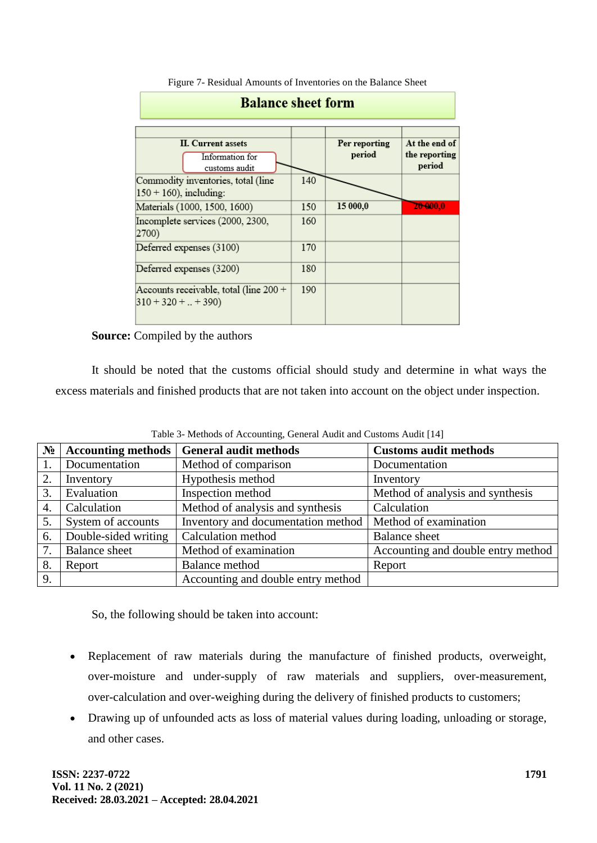| <b>Balance sheet form</b>                                      |     |                         |                                          |  |  |  |
|----------------------------------------------------------------|-----|-------------------------|------------------------------------------|--|--|--|
| <b>II.</b> Current assets<br>Information for<br>customs audit  |     | Per reporting<br>period | At the end of<br>the reporting<br>period |  |  |  |
| Commodity inventories, total (line<br>$150 + 160$ , including: | 140 |                         |                                          |  |  |  |
| Materials (1000, 1500, 1600)                                   | 150 | 15 000,0                | 20-000.0                                 |  |  |  |
| Incomplete services (2000, 2300,<br>2700)                      | 160 |                         |                                          |  |  |  |
| Deferred expenses (3100)                                       | 170 |                         |                                          |  |  |  |
| Deferred expenses (3200)                                       | 180 |                         |                                          |  |  |  |
| Accounts receivable, total (line 200 +<br>$310 + 320 +  + 390$ | 190 |                         |                                          |  |  |  |

Figure 7- Residual Amounts of Inventories on the Balance Sheet

#### **Source:** Compiled by the authors

It should be noted that the customs official should study and determine in what ways the excess materials and finished products that are not taken into account on the object under inspection.

| $N_2$ | <b>Accounting methods</b> | <b>General audit methods</b>       | <b>Customs audit methods</b>       |
|-------|---------------------------|------------------------------------|------------------------------------|
|       | Documentation             | Method of comparison               | Documentation                      |
| 2.    | Inventory                 | Hypothesis method                  | Inventory                          |
| 3.    | Evaluation                | Inspection method                  | Method of analysis and synthesis   |
| 4.    | Calculation               | Method of analysis and synthesis   | Calculation                        |
| 5.    | System of accounts        | Inventory and documentation method | Method of examination              |
| 6.    | Double-sided writing      | Calculation method                 | <b>Balance</b> sheet               |
| 7.    | <b>Balance</b> sheet      | Method of examination              | Accounting and double entry method |
| 8.    | Report                    | Balance method                     | Report                             |
| 9.    |                           | Accounting and double entry method |                                    |

Table 3- Methods of Accounting, General Audit and Customs Audit [14]

So, the following should be taken into account:

- Replacement of raw materials during the manufacture of finished products, overweight, over-moisture and under-supply of raw materials and suppliers, over-measurement, over-calculation and over-weighing during the delivery of finished products to customers;
- Drawing up of unfounded acts as loss of material values during loading, unloading or storage, and other cases.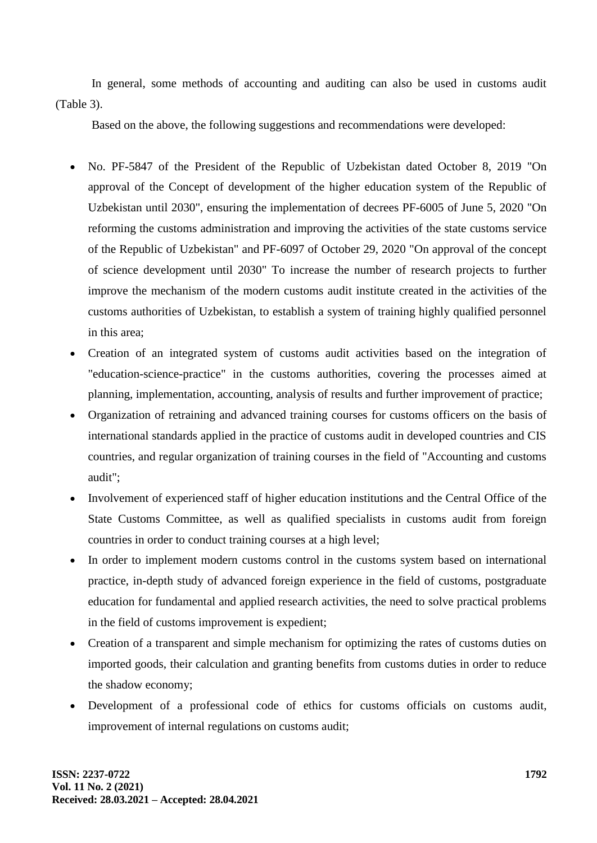In general, some methods of accounting and auditing can also be used in customs audit (Table 3).

Based on the above, the following suggestions and recommendations were developed:

- No. PF-5847 of the President of the Republic of Uzbekistan dated October 8, 2019 "On approval of the Concept of development of the higher education system of the Republic of Uzbekistan until 2030", ensuring the implementation of decrees PF-6005 of June 5, 2020 "On reforming the customs administration and improving the activities of the state customs service of the Republic of Uzbekistan" and PF-6097 of October 29, 2020 "On approval of the concept of science development until 2030" To increase the number of research projects to further improve the mechanism of the modern customs audit institute created in the activities of the customs authorities of Uzbekistan, to establish a system of training highly qualified personnel in this area;
- Creation of an integrated system of customs audit activities based on the integration of "education-science-practice" in the customs authorities, covering the processes aimed at planning, implementation, accounting, analysis of results and further improvement of practice;
- Organization of retraining and advanced training courses for customs officers on the basis of international standards applied in the practice of customs audit in developed countries and CIS countries, and regular organization of training courses in the field of "Accounting and customs audit";
- Involvement of experienced staff of higher education institutions and the Central Office of the State Customs Committee, as well as qualified specialists in customs audit from foreign countries in order to conduct training courses at a high level;
- In order to implement modern customs control in the customs system based on international practice, in-depth study of advanced foreign experience in the field of customs, postgraduate education for fundamental and applied research activities, the need to solve practical problems in the field of customs improvement is expedient;
- Creation of a transparent and simple mechanism for optimizing the rates of customs duties on imported goods, their calculation and granting benefits from customs duties in order to reduce the shadow economy;
- Development of a professional code of ethics for customs officials on customs audit, improvement of internal regulations on customs audit;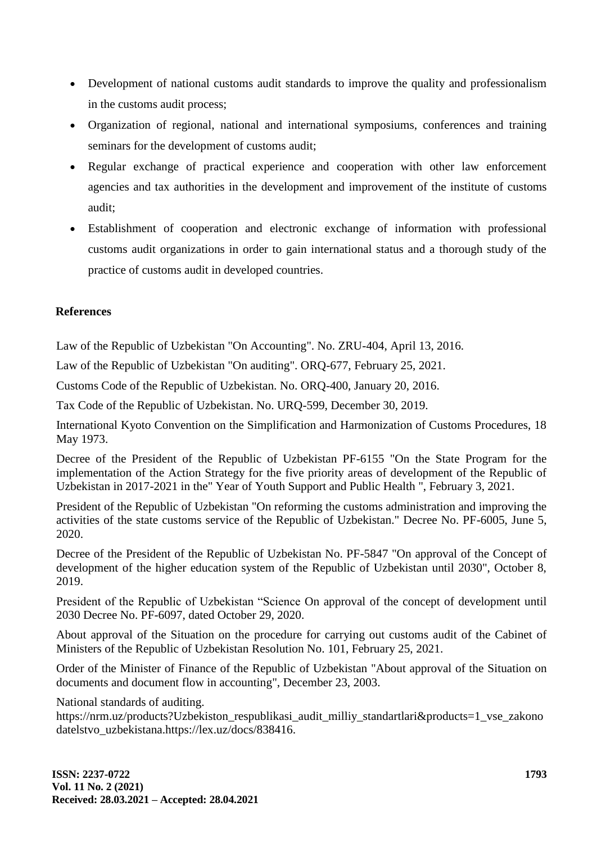- Development of national customs audit standards to improve the quality and professionalism in the customs audit process;
- Organization of regional, national and international symposiums, conferences and training seminars for the development of customs audit;
- Regular exchange of practical experience and cooperation with other law enforcement agencies and tax authorities in the development and improvement of the institute of customs audit;
- Establishment of cooperation and electronic exchange of information with professional customs audit organizations in order to gain international status and a thorough study of the practice of customs audit in developed countries.

## **References**

Law of the Republic of Uzbekistan "On Accounting". No. ZRU-404, April 13, 2016.

Law of the Republic of Uzbekistan "On auditing". ORQ-677, February 25, 2021.

Customs Code of the Republic of Uzbekistan. No. ORQ-400, January 20, 2016.

Tax Code of the Republic of Uzbekistan. No. URQ-599, December 30, 2019.

International Kyoto Convention on the Simplification and Harmonization of Customs Procedures, 18 May 1973.

Decree of the President of the Republic of Uzbekistan PF-6155 "On the State Program for the implementation of the Action Strategy for the five priority areas of development of the Republic of Uzbekistan in 2017-2021 in the" Year of Youth Support and Public Health ", February 3, 2021.

President of the Republic of Uzbekistan "On reforming the customs administration and improving the activities of the state customs service of the Republic of Uzbekistan." Decree No. PF-6005, June 5, 2020.

Decree of the President of the Republic of Uzbekistan No. PF-5847 "On approval of the Concept of development of the higher education system of the Republic of Uzbekistan until 2030", October 8, 2019.

President of the Republic of Uzbekistan "Science On approval of the concept of development until 2030 Decree No. PF-6097, dated October 29, 2020.

About approval of the Situation on the procedure for carrying out customs audit of the Cabinet of Ministers of the Republic of Uzbekistan Resolution No. 101, February 25, 2021.

Order of the Minister of Finance of the Republic of Uzbekistan "About approval of the Situation on documents and document flow in accounting", December 23, 2003.

National standards of auditing.

https://nrm.uz/products?Uzbekiston\_respublikasi\_audit\_milliy\_standartlari&products=1\_vse\_zakono datelstvo\_uzbekistana.https://lex.uz/docs/838416.